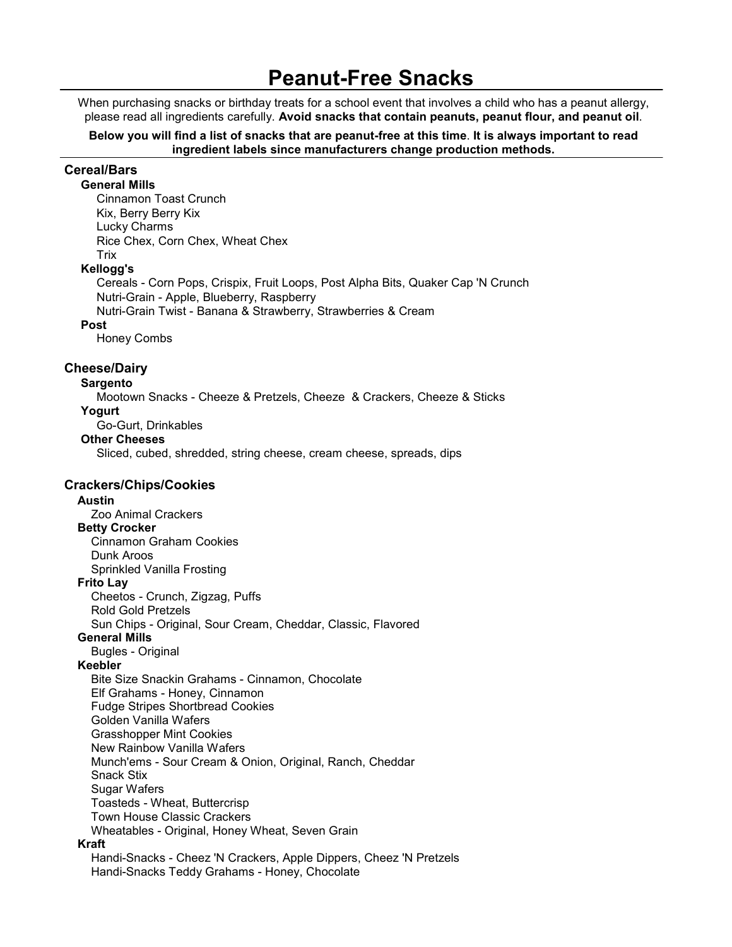# Peanut-Free Snacks

When purchasing snacks or birthday treats for a school event that involves a child who has a peanut allergy, please read all ingredients carefully. Avoid snacks that contain peanuts, peanut flour, and peanut oil.

Below you will find a list of snacks that are peanut-free at this time. It is always important to read ingredient labels since manufacturers change production methods.

### Cereal/Bars

 General Mills Cinnamon Toast Crunch Kix, Berry Berry Kix Lucky Charms Rice Chex, Corn Chex, Wheat Chex **Trix** 

#### Kellogg's

 Cereals - Corn Pops, Crispix, Fruit Loops, Post Alpha Bits, Quaker Cap 'N Crunch Nutri-Grain - Apple, Blueberry, Raspberry Nutri-Grain Twist - Banana & Strawberry, Strawberries & Cream

#### Post

Honey Combs

#### Cheese/Dairy

#### Sargento

 Mootown Snacks - Cheeze & Pretzels, Cheeze & Crackers, Cheeze & Sticks Yogurt

Go-Gurt, Drinkables

#### Other Cheeses

Sliced, cubed, shredded, string cheese, cream cheese, spreads, dips

#### Crackers/Chips/Cookies

#### Austin

Zoo Animal Crackers

#### Betty Crocker

 Cinnamon Graham Cookies Dunk Aroos Sprinkled Vanilla Frosting

#### Frito Lay

 Cheetos - Crunch, Zigzag, Puffs Rold Gold Pretzels Sun Chips - Original, Sour Cream, Cheddar, Classic, Flavored

#### General Mills

Bugles - Original

#### Keebler

 Bite Size Snackin Grahams - Cinnamon, Chocolate Elf Grahams - Honey, Cinnamon Fudge Stripes Shortbread Cookies Golden Vanilla Wafers Grasshopper Mint Cookies New Rainbow Vanilla Wafers Munch'ems - Sour Cream & Onion, Original, Ranch, Cheddar Snack Stix Sugar Wafers Toasteds - Wheat, Buttercrisp Town House Classic Crackers Wheatables - Original, Honey Wheat, Seven Grain

#### Kraft

 Handi-Snacks - Cheez 'N Crackers, Apple Dippers, Cheez 'N Pretzels Handi-Snacks Teddy Grahams - Honey, Chocolate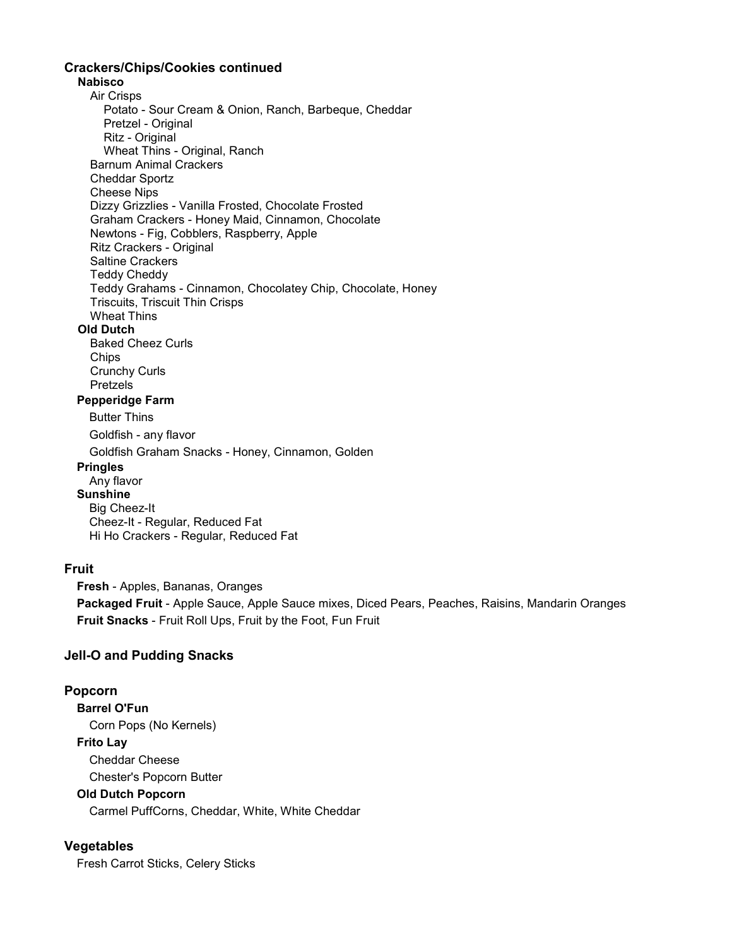## Crackers/Chips/Cookies continued

### Nabisco

 Air Crisps Potato - Sour Cream & Onion, Ranch, Barbeque, Cheddar Pretzel - Original Ritz - Original Wheat Thins - Original, Ranch Barnum Animal Crackers Cheddar Sportz Cheese Nips Dizzy Grizzlies - Vanilla Frosted, Chocolate Frosted Graham Crackers - Honey Maid, Cinnamon, Chocolate Newtons - Fig, Cobblers, Raspberry, Apple Ritz Crackers - Original Saltine Crackers Teddy Cheddy Teddy Grahams - Cinnamon, Chocolatey Chip, Chocolate, Honey Triscuits, Triscuit Thin Crisps Wheat Thins Old Dutch Baked Cheez Curls **Chips**  Crunchy Curls Pretzels Pepperidge Farm Butter Thins Goldfish - any flavor Goldfish Graham Snacks - Honey, Cinnamon, Golden

#### **Pringles**

 Any flavor **Sunshine**  Big Cheez-It Cheez-It - Regular, Reduced Fat Hi Ho Crackers - Regular, Reduced Fat

### Fruit

 Fresh - Apples, Bananas, Oranges Packaged Fruit - Apple Sauce, Apple Sauce mixes, Diced Pears, Peaches, Raisins, Mandarin Oranges Fruit Snacks - Fruit Roll Ups, Fruit by the Foot, Fun Fruit

### Jell-O and Pudding Snacks

#### Popcorn

 Barrel O'Fun Corn Pops (No Kernels) Frito Lay Cheddar Cheese Chester's Popcorn Butter Old Dutch Popcorn

Carmel PuffCorns, Cheddar, White, White Cheddar

### **Vegetables**

Fresh Carrot Sticks, Celery Sticks